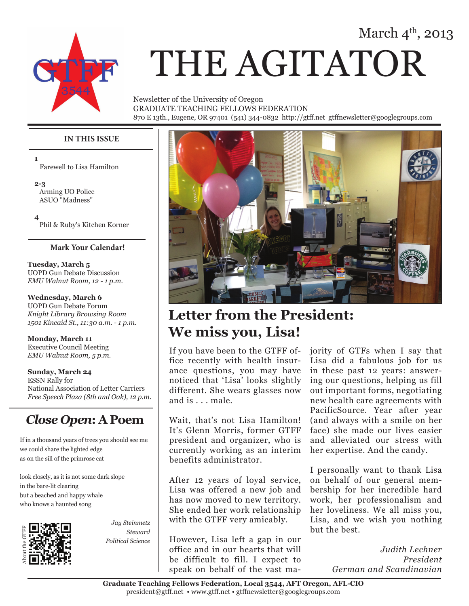# March  $4^{\text{th}}$ , 2013



# THE AGITATOR

Newsletter of the University of Oregon GRADUATE TEACHING FELLOWS FEDERATION 870 E 13th., Eugene, OR 97401 (541) 344-0832 http://gtff.net gtffnewsletter@googlegroups.com

### **IN THIS ISSUE**

**1** Farewell to Lisa Hamilton

**2-3** Arming UO Police ASUO "Madness"

**4** Phil & Ruby's Kitchen Korner

#### **Mark Your Calendar!**

**Tuesday, March 5** UOPD Gun Debate Discussion *EMU Walnut Room, 12 - 1 p.m.*

**Wednesday, March 6** UOPD Gun Debate Forum *Knight Library Browsing Room 1501 Kincaid St., 11:30 a.m. - 1 p.m.*

**Monday, March 11** Executive Council Meeting *EMU Walnut Room, 5 p.m.*

**Sunday, March 24** ESSN Rally for National Association of Letter Carriers *Free Speech Plaza (8th and Oak), 12 p.m.*

## *Close Open***: A Poem**

If in a thousand years of trees you should see me we could share the lighted edge as on the sill of the primrose cat

look closely, as it is not some dark slope in the bare-lit clearing but a beached and happy whale who knows a haunted song



*Jay Steinmetz Steward Political Science*



# **Letter from the President: We miss you, Lisa!**

If you have been to the GTFF office recently with health insurance questions, you may have noticed that 'Lisa' looks slightly different. She wears glasses now and is . . . male.

Wait, that's not Lisa Hamilton! It's Glenn Morris, former GTFF president and organizer, who is currently working as an interim benefits administrator.

After 12 years of loyal service, Lisa was offered a new job and has now moved to new territory. She ended her work relationship with the GTFF very amicably.

However, Lisa left a gap in our office and in our hearts that will be difficult to fill. I expect to speak on behalf of the vast majority of GTFs when I say that Lisa did a fabulous job for us in these past 12 years: answering our questions, helping us fill out important forms, negotiating new health care agreements with PacificSource. Year after year (and always with a smile on her face) she made our lives easier and alleviated our stress with her expertise. And the candy.

I personally want to thank Lisa on behalf of our general membership for her incredible hard work, her professionalism and her loveliness. We all miss you, Lisa, and we wish you nothing but the best.

> *Judith Lechner President German and Scandinavian*

**Graduate Teaching Fellows Federation, Local 3544, AFT Oregon, AFL-CIO** president@gtff.net • www.gtff.net • gtffnewsletter@googlegroups.com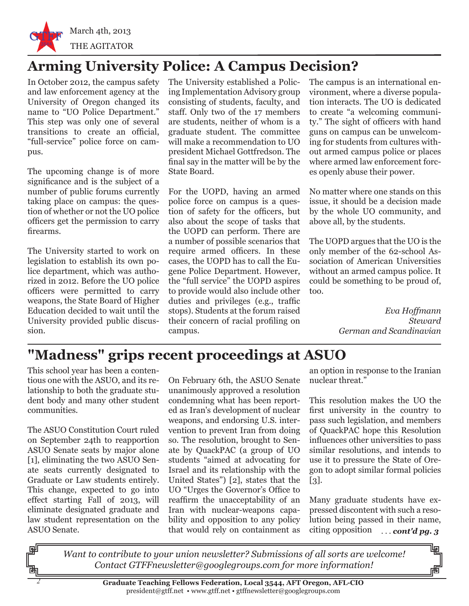

# **Arming University Police: A Campus Decision?**

In October 2012, the campus safety and law enforcement agency at the University of Oregon changed its name to "UO Police Department." This step was only one of several transitions to create an official, "full-service" police force on campus.

The upcoming change is of more significance and is the subject of a number of public forums currently taking place on campus: the question of whether or not the UO police officers get the permission to carry firearms.

The University started to work on legislation to establish its own police department, which was authorized in 2012. Before the UO police officers were permitted to carry weapons, the State Board of Higher Education decided to wait until the University provided public discussion.

The University established a Policing Implementation Advisory group consisting of students, faculty, and staff. Only two of the 17 members are students, neither of whom is a graduate student. The committee will make a recommendation to UO president Michael Gottfredson. The final say in the matter will be by the State Board.

For the UOPD, having an armed police force on campus is a question of safety for the officers, but also about the scope of tasks that the UOPD can perform. There are a number of possible scenarios that require armed officers. In these cases, the UOPD has to call the Eugene Police Department. However, the "full service" the UOPD aspires to provide would also include other duties and privileges (e.g., traffic stops). Students at the forum raised their concern of racial profiling on campus.

The campus is an international environment, where a diverse population interacts. The UO is dedicated to create "a welcoming community." The sight of officers with hand guns on campus can be unwelcoming for students from cultures without armed campus police or places where armed law enforcement forces openly abuse their power.

No matter where one stands on this issue, it should be a decision made by the whole UO community, and above all, by the students.

The UOPD argues that the UO is the only member of the 62-school Association of American Universities without an armed campus police. It could be something to be proud of, too.

> *Eva Hoffmann Steward German and Scandinavian*

## **"Madness" grips recent proceedings at ASUO**

This school year has been a contentious one with the ASUO, and its relationship to both the graduate student body and many other student communities.

The ASUO Constitution Court ruled on September 24th to reapportion ASUO Senate seats by major alone [1], eliminating the two ASUO Senate seats currently designated to Graduate or Law students entirely. This change, expected to go into effect starting Fall of 2013, will eliminate designated graduate and law student representation on the ASUO Senate.

 *2*

On February 6th, the ASUO Senate unanimously approved a resolution condemning what has been reported as Iran's development of nuclear weapons, and endorsing U.S. intervention to prevent Iran from doing so. The resolution, brought to Senate by QuackPAC (a group of UO students "aimed at advocating for Israel and its relationship with the United States") [2], states that the UO "Urges the Governor's Office to reaffirm the unacceptability of an Iran with nuclear-weapons capability and opposition to any policy that would rely on containment as

an option in response to the Iranian nuclear threat."

This resolution makes the UO the first university in the country to pass such legislation, and members of QuackPAC hope this Resolution influences other universities to pass similar resolutions, and intends to use it to pressure the State of Oregon to adopt similar formal policies [3].

Many graduate students have expressed discontent with such a resolution being passed in their name, citing opposition . . . *cont'd pg. 3*

*Want to contribute to your union newsletter? Submissions of all sorts are welcome! Contact GTFFnewsletter@googlegroups.com for more information!*

> **Graduate Teaching Fellows Federation, Local 3544, AFT Oregon, AFL-CIO** president@gtff.net • www.gtff.net • gtffnewsletter@googlegroups.com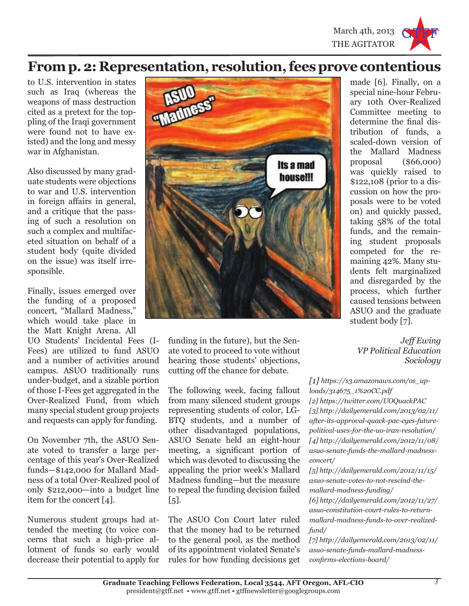

## **From p. 2: Representation, resolution, fees prove contentious**

to U.S. intervention in states such as Iraq (whereas the weapons of mass destruction cited as a pretext for the toppling of the Iraqi government were found not to have existed) and the long and messy war in Afghanistan.

Also discussed by many graduate students were objections to war and U.S. intervention in foreign affairs in general, and a critique that the passing of such a resolution on such a complex and multifaceted situation on behalf of a student body (quite divided on the issue) was itself irresponsible.

Finally, issues emerged over the funding of a proposed concert, "Mallard Madness," which would take place in the Matt Knight Arena. All

UO Students' Incidental Fees (I-Fees) are utilized to fund ASUO and a number of activities around campus. ASUO traditionally runs under-budget, and a sizable portion of those I-Fees get aggregated in the Over-Realized Fund, from which many special student group projects and requests can apply for funding.

On November 7th, the ASUO Senate voted to transfer a large percentage of this year's Over-Realized funds—\$142,000 for Mallard Madness of a total Over-Realized pool of only \$212,000—into a budget line item for the concert [4].

Numerous student groups had attended the meeting (to voice concerns that such a high-price allotment of funds so early would decrease their potential to apply for



funding in the future), but the Senate voted to proceed to vote without hearing those students' objections, cutting off the chance for debate.

The following week, facing fallout from many silenced student groups representing students of color, LG-BTQ students, and a number of other disadvantaged populations, ASUO Senate held an eight-hour meeting, a significant portion of which was devoted to discussing the appealing the prior week's Mallard Madness funding—but the measure to repeal the funding decision failed [5].

The ASUO Con Court later ruled that the money had to be returned to the general pool, as the method of its appointment violated Senate's rules for how funding decisions get made [6]. Finally, on a special nine-hour February 10th Over-Realized Committee meeting to determine the final distribution of funds, a scaled-down version of the Mallard Madness proposal (\$66,000) was quickly raised to \$122,108 (prior to a discussion on how the proposals were to be voted on) and quickly passed, taking 58% of the total funds, and the remaining student proposals competed for the remaining 42%. Many students felt marginalized and disregarded by the process, which further caused tensions between ASUO and the graduate student body [7].

*Jeff Ewing VP Political Education Sociology*

*[1] https://s3.amazonaws.com/os\_uploads/314675\_1%20CC.pdf [2] https://twitter.com/UOQuackPAC [3] http://dailyemerald.com/2013/02/11/ after-its-approval-quack-pac-eyes-futurepolitical-uses-for-the-uo-iran-resolution/ [4] http://dailyemerald.com/2012/11/08/ asuo-senate-funds-the-mallard-madnessconcert/*

*[5] http://dailyemerald.com/2012/11/15/ asuo-senate-votes-to-not-rescind-themallard-madness-funding/ [6] http://dailyemerald.com/2012/11/27/ asuo-constitution-court-rules-to-return-*

*mallard-madness-funds-to-over-realizedfund/*

*[7] http://dailyemerald.com/2013/02/11/ asuo-senate-funds-mallard-madnessconfirms-elections-board/*